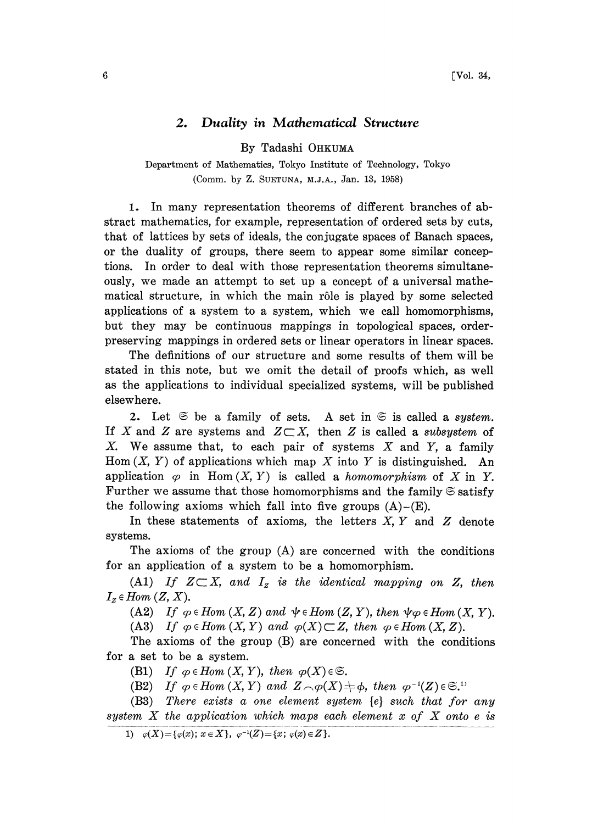## 2. Duality in Mathematical Structure

By Tadashi OHKUMA

Department of Mathematics, Tokyo Institute of Technology, Tokyo (Comm. by Z. SUETUNA, M.J.A., Jan. 13, 1958)

1. In many representation theorems of different branches of abstract mathematics, for example, representation of ordered sets by cuts, that of lattices by sets of ideals, the conjugate spaces of Banach spaces, or the duality of groups, there seem to appear some similar conceptions. In order to deal with those representation theorems simultaneously, we made an attempt to set up a concept of a universal mathematical structure, in which the main rôle is played by some selected applications of a system to a system, which we call homomorphisms, but they may be continuous mappings in topological spaces, orderpreserving mappings in ordered sets or linear operators in linear spaces.

The definitions of our structure and some results of them will be stated in this note, but we omit the detail of proofs which, as well as the applications to individual specialized systems, will be published elsewhere.

2. Let  $\Im$  be a family of sets. A set in  $\Im$  is called a system. If X and Z are systems and  $Z\subset X$ , then Z is called a subsystem of  $X$ . We assume that, to each pair of systems  $X$  and  $Y$ , a family Hom  $(X, Y)$  of applications which map X into Y is distinguished. An application  $\varphi$  in Hom  $(X, Y)$  is called a *homomorphism* of X in Y. Further we assume that those homomorphisms and the family  $\mathfrak S$  satisfy the following axioms which fall into five groups  $(A)$ – $(E)$ .

In these statements of axioms, the letters  $X, Y$  and  $Z$  denote systems.

The axioms of the group (A) are concerned with the conditions for an application of a system to be a homomorphism.

(A1) If  $Z\subset X$ , and  $I_z$  is the identical mapping on Z, then  $I_z \in Hom(Z, X)$ .

(A2) If  $\varphi \in Hom(X, Z)$  and  $\psi \in Hom(Z, Y)$ , then  $\psi \varphi \in Hom(X, Y)$ .

(A3) If  $\varphi \in Hom(X, Y)$  and  $\varphi(X) \subset Z$ , then  $\varphi \in Hom(X, Z)$ .

The axioms of the group (B) are concerned with the conditions for a set to be a system.

(B1) If  $\varphi \in Hom(X, Y)$ , then  $\varphi(X) \in \mathfrak{S}$ .

(B2) If  $\varphi \in Hom(X, Y)$  and  $Z \cap \varphi(X) \neq \varphi$ , then  $\varphi^{-1}(Z) \in \mathfrak{S}^{(1)}$ .

(B3) There exists a one element system [e} such that for any system  $X$  the application which maps each element  $x$  of  $X$  onto e is

<sup>1)</sup>  $\varphi(X) = {\varphi(x)}; x \in X, \varphi^{-1}(Z) = {x}; \varphi(x) \in Z.$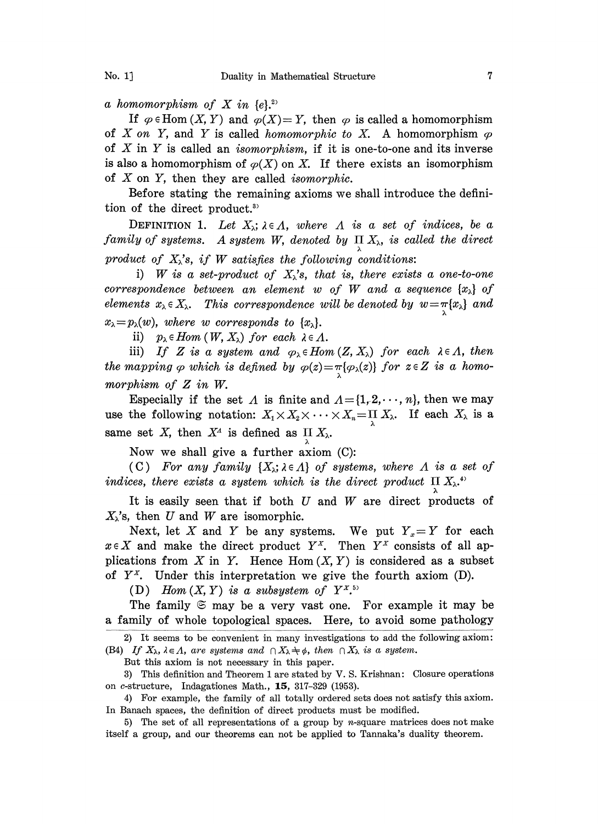a homomorphism of X in  $\{e\}$ <sup>2)</sup>

If  $\varphi \in$  Hom  $(X, Y)$  and  $\varphi(X) = Y$ , then  $\varphi$  is called a homomorphism of X on Y, and Y is called homomorphic to X. A homomorphism  $\varphi$ of  $X$  in  $Y$  is called an *isomorphism*, if it is one-to-one and its inverse is also a homomorphism of  $\varphi(X)$  on X. If there exists an isomorphism of  $X$  on  $Y$ , then they are called *isomorphic*.

Before stating the remaining axioms we shall introduce the definition of the direct product.<sup>3)</sup>

DEFINITION 1. Let  $X_{\lambda}$ ;  $\lambda \in \Lambda$ , where  $\Lambda$  is a set of indices, be a family of systems. A system W, denoted by  $\prod_{\lambda} X_{\lambda}$ , is called the direct product of  $X_{\lambda}$ 's, if W satisfies the following conditions:

i) W is a set-product of  $X_{\lambda}$ 's, that is, there exists a one-to-one correspondence between an element w of W and a sequence  $\{x_{\lambda}\}\$  of elements  $x_{\lambda} \in X_{\lambda}$ . This correspondence will be denoted by  $w = \pi \{x_{\lambda}\}$  and  $x_{\lambda} = p_{\lambda}(w)$ , where w corresponds to  $\{x_{\lambda}\}.$ 

ii)  $p_{\lambda} \in Hom(W, X_{\lambda})$  for each  $\lambda \in \Lambda$ .

iii) If Z is a system and  $\varphi_{\lambda} \in Hom(Z, X_{\lambda})$  for each  $\lambda \in \Lambda$ , then the mapping  $\varphi$  which is defined by  $\varphi(z) = \pi {\varphi_{\lambda}(z)}$  for  $z \in Z$  is a homomorphism of Z in W.

Especially if the set A is finite and  $A = \{1, 2, \dots, n\}$ , then we may use the following notation:  $X_1 \times X_2 \times \cdots \times X_n = \prod_{\lambda} X_{\lambda}$ . If each  $X_{\lambda}$  is a same set X, then  $X^4$  is defined as II  $X_\lambda$ .

Now we shall give a further axiom  $(C)$ :

(C) For any family  $\{X_{\lambda}; \lambda \in \Lambda\}$  of systems, where  $\Lambda$  is a set of indices, there exists a system which is the direct product  $\Pi X_{\lambda}$ <sup>4</sup>

It is easily seen that if both  $U$  and  $W$  are direct products of  $X_{\lambda}$ 's, then U and W are isomorphic.

Next, let X and Y be any systems. We put  $Y_x = Y$  for each  $x \in X$  and make the direct product  $Y^x$ . Then  $Y^x$  consists of all applications from X in Y. Hence  $Hom(X, Y)$  is considered as a subset of  $Y^X$ . Under this interpretation we give the fourth axiom (D).

(D) Hom  $(X, Y)$  is a subsystem of  $Y^{X, 5}$ 

The family  $\mathfrak S$  may be a very vast one. For example it may be a family of whole topological spaces. Here, to avoid some pathology

2) It seems to be convenient in many investigations to add the following axiom: (B4) If  $X_{\lambda}$ ,  $\lambda \in \Lambda$ , are systems and  $\bigcap X_{\lambda} \neq \emptyset$ , then  $\bigcap X_{\lambda}$  is a system.

But this axiom is not necessary in this paper.

3) This definition and Theorem 1 are stated by V. S. Krishnan: Closure operations on c-structure, Indagationes Math., 15, 317-329 (1953).

4) For example, the family of all totally ordered sets does not satisfy this axiom. In Banach spaces, the definition of direct products must be modified.

5) The set of all representations of a group by  $n$ -square matrices does not make itself a group, and our theorems can not be applied to Tannaka's duality theorem.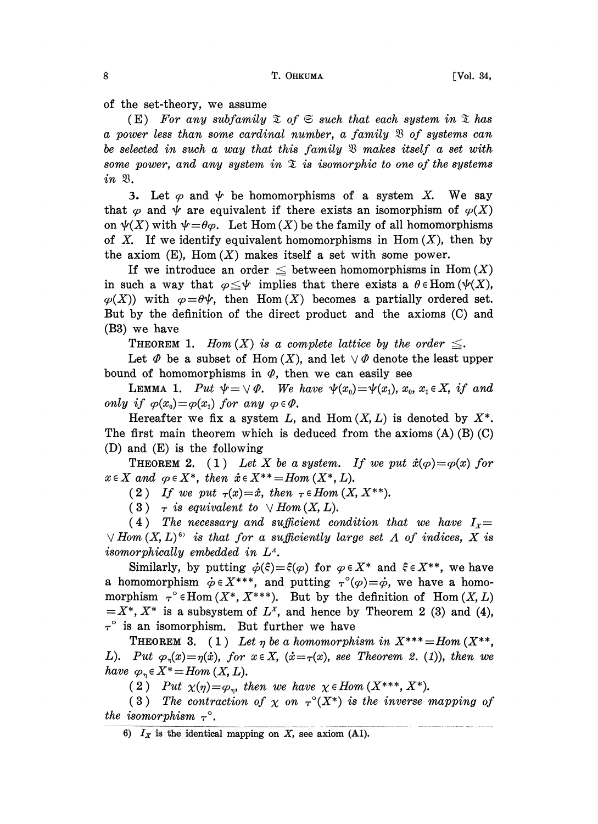of the set-theory, we assume

(E) For any subfamily  $\mathfrak{X}$  of  $\mathfrak{S}$  such that each system in  $\mathfrak{X}$  has a power less than some cardinal number, a family  $\mathfrak B$  of systems can be selected in such a way that this family  $\mathfrak B$  makes itself a set with some power, and any system in  $\mathfrak X$  is isomorphic to one of the systems  $in$   $\mathfrak{B}.$ 

3. Let  $\varphi$  and  $\psi$  be homomorphisms of a system X. We say that  $\varphi$  and  $\psi$  are equivalent if there exists an isomorphism of  $\varphi(X)$ on  $\psi(X)$  with  $\psi = \theta \varphi$ . Let Hom  $(X)$  be the family of all homomorphisms of X. If we identify equivalent homomorphisms in Hom  $(X)$ , then by the axiom  $(E)$ , Hom  $(X)$  makes itself a set with some power.

If we introduce an order  $\leq$  between homomorphisms in Hom  $(X)$ in such a way that  $\varphi \leq \psi$  implies that there exists a  $\theta \in$ Hom ( $\psi$ (X),  $\varphi(X)$ ) with  $\varphi = \theta \psi$ , then Hom $(X)$  becomes a partially ordered set. But by the definition of the direct product and the axioms (C) and (B3) we have

**THEOREM 1.** Hom  $(X)$  is a complete lattice by the order  $\leq$ .

Let  $\Phi$  be a subset of Hom  $(X)$ , and let  $\vee \Phi$  denote the least upper bound of homomorphisms in  $\varPhi$ , then we can easily see

**LEMMA 1.** Put  $\psi = \vee \phi$ . We have  $\psi(x_0) = \psi(x_1)$ ,  $x_0$ ,  $x_1 \in X$ , if and only if  $\varphi(x_0) = \varphi(x_1)$  for any  $\varphi \in \varPhi$ .

Hereafter we fix a system L, and Hom  $(X, L)$  is denoted by  $X^*$ . The first main theorem which is deduced from the axioms  $(A)$   $(B)$   $(C)$ (D) and (E) is the following

**THEOREM 2.** (1) Let X be a system. If we put  $\dot{x}(\varphi) = \varphi(x)$  for  $x \in X$  and  $\varphi \in X^*$ , then  $\dot{x} \in X^{**} = Hom(X^*, L)$ .

(2) If we put  $\tau(x)=\dot{x}$ , then  $\tau \in Hom(X, X^{**})$ .

(3)  $\tau$  is equivalent to  $\vee$  Hom(X, L).

(4) The necessary and sufficient condition that we have  $I_x =$  $\forall$  Hom  $(X, L)^6$  is that for a sufficiently large set  $\Lambda$  of indices,  $X$  is isomorphically embedded in  $L^4$ .

Similarly, by putting  $\dot{\varphi}(\xi)=\xi(\varphi)$  for  $\varphi \in X^*$  and  $\xi \in X^{**}$ , we have a homomorphism  $\dot{\varphi} \in X^{***}$ , and putting  $\tau^{\circ}(\varphi)=\dot{\varphi}$ , we have a homomorphism  $\tau^{\circ} \in \text{Hom}(X^*, X^{***})$ . But by the definition of Hom  $(X, L)$  $=X^*, X^*$  is a subsystem of  $L^x$ , and hence by Theorem 2 (3) and (4),  $\tau^{\circ}$  is an isomorphism. But further we have

THEOREM 3. (1) Let  $\eta$  be a homomorphism in  $X^{***} = Hom(X^{**},$ L). Put  $\varphi_n(x) = \eta(x)$ , for  $x \in X$ ,  $(x = \tau(x))$ , see Theorem 2. (1), then we have  $\varphi_n \in X^* = Hom(X, L)$ .

(2) Put  $\chi(\eta) = \varphi_{\eta}$ , then we have  $\chi \in Hom(X^{***}, X^{*})$ .

(3) The contraction of  $\chi$  on  $\tau^{\circ}(X^*)$  is the inverse mapping of the isomorphism  $\tau^{\circ}$ .

<sup>6)</sup>  $I_X$  is the identical mapping on X, see axiom (A1).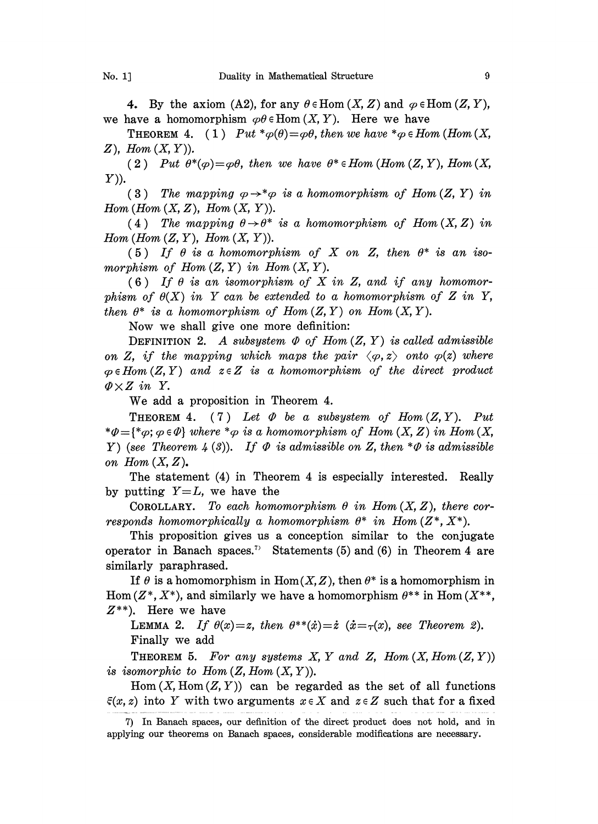4. By the axiom (A2), for any  $\theta \in$ Hom  $(X, Z)$  and  $\varphi \in$ Hom  $(Z, Y)$ , we have a homomorphism  $\varphi\theta \in \text{Hom}(X, Y)$ . Here we have

**THEOREM 4.** (1) Put \* $\varphi(\theta) = \varphi \theta$ , then we have \* $\varphi \in Hom$  (Hom (X,  $Z$ ), Hom  $(X, Y)$ ).

(2) Put  $\theta^*(\varphi) = \varphi \theta$ , then we have  $\theta^* \in Hom$  (Hom  $(Z, Y)$ , Hom  $(X, Y)$ Y)).

(3) The mapping  $\varphi \rightarrow^* \varphi$  is a homomorphism of Hom  $(Z, Y)$  in Hom (Hom  $(X, Z)$ , Hom  $(X, Y)$ ).

(4) The mapping  $\theta \rightarrow \theta^*$  is a homomorphism of Hom  $(X, Z)$  in Hom  $(Hom(Z, Y), Hom(X, Y)).$ 

(5) If  $\theta$  is a homomorphism of X on Z, then  $\theta^*$  is an isomorphism of Hom $(Z, Y)$  in Hom $(X, Y)$ .

(6) If  $\theta$  is an isomorphism of X in Z, and if any homomorphism of  $\theta(X)$  in Y can be extended to a homomorphism of Z in Y, then  $\theta^*$  is a homomorphism of Hom  $(Z, Y)$  on Hom  $(X, Y)$ .

Now we shall give one more definition:

DEFINITION 2. A subsystem  $\Phi$  of Hom  $(Z, Y)$  is called admissible on Z, if the mapping which maps the pair  $\langle \varphi, z \rangle$  onto  $\varphi(z)$  where  $\varphi \in Hom(Z, Y)$  and  $z \in Z$  is a homomorphism of the direct product  $\mathcal{D} \times Z$  in Y.

We add <sup>a</sup> proposition in Theorem 4.

**THEOREM 4.** (7) Let  $\Phi$  be a subsystem of Hom  $(Z, Y)$ . Put  $*\varphi = {\varphi; \varphi \in \varphi}$  where  $*\varphi$  is a homomorphism of Hom  $(X, Z)$  in Hom  $(X, X)$ Y) (see Theorem 4 (3)). If  $\Phi$  is admissible on Z, then  $*\Phi$  is admissible on Hom  $(X, Z)$ .

The statement (4) in Theorem 4 is especially interested. Really by putting  $Y=L$ , we have the

COROLLARY. To each homomorphism  $\theta$  in Hom  $(X, Z)$ , there corresponds homomorphically a homomorphism  $\theta^*$  in Hom  $(Z^*, X^*)$ .

This proposition gives us a conception similar to the conjugate operator in Banach spaces.<sup>7)</sup> Statements (5) and (6) in Theorem 4 are similarly paraphrased.

If  $\theta$  is a homomorphism in Hom(X, Z), then  $\theta^*$  is a homomorphism in Hom  $(Z^*, X^*)$ , and similarly we have a homomorphism  $\theta^{**}$  in Hom  $(X^{**}, Y^{**})$  $Z^{**}$ ). Here we have

LEMMA 2. If  $\theta(x)=z$ , then  $\theta^{**}(\dot{x})=\dot{z}$   $(\dot{x}=\tau(x))$ , see Theorem 2). Finally we add

THEOREM 5. For any systems X, Y and Z, Hom  $(X, Hom(Z, Y))$ is isomorphic to  $Hom(Z, Hom(X, Y)).$ 

 $Hom(X, Hom(Z, Y))$  can be regarded as the set of all functions  $\xi(x, z)$  into Y with two arguments  $x \in X$  and  $z \in Z$  such that for a fixed

<sup>7)</sup> In Banach spaces, our definition of the direct product does not hold, and in applying our theorems on Banach spaces, considerable modifications are necessary.